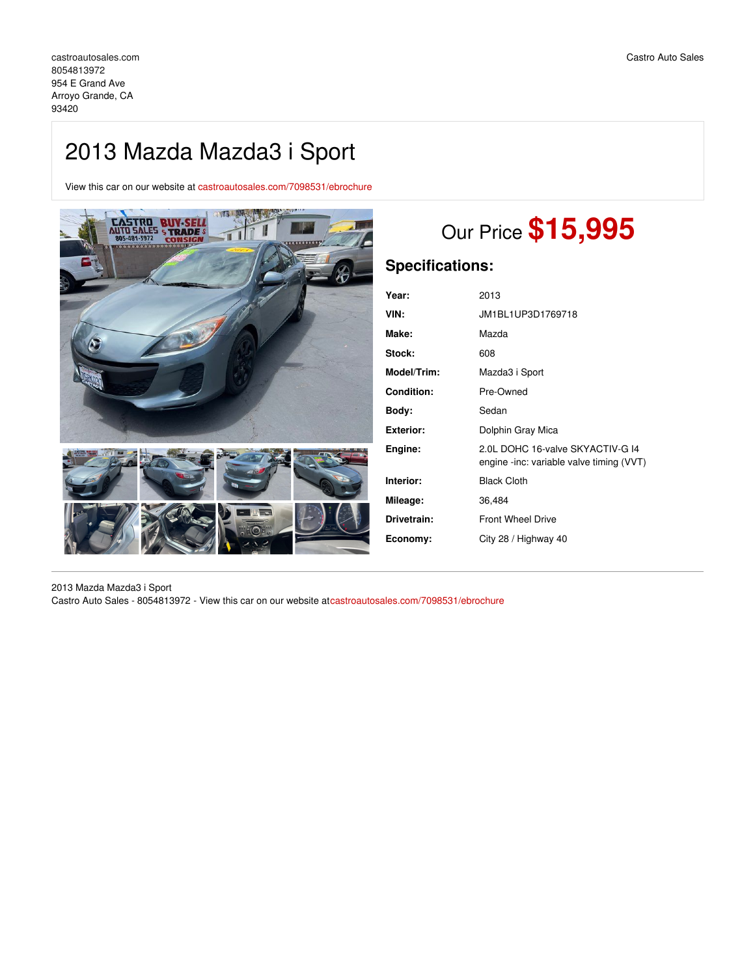## 2013 Mazda Mazda3 i Sport

View this car on our website at [castroautosales.com/7098531/ebrochure](https://castroautosales.com/vehicle/7098531/2013-mazda-mazda3-i-sport-arroyo-grande-ca-93420/7098531/ebrochure)



# Our Price **\$15,995**

## **Specifications:**

| Year:       | 2013                                                                         |
|-------------|------------------------------------------------------------------------------|
| VIN:        | JM1BL1UP3D1769718                                                            |
| Make:       | Mazda                                                                        |
| Stock:      | 608                                                                          |
| Model/Trim: | Mazda3 i Sport                                                               |
| Condition:  | Pre-Owned                                                                    |
| Bodv:       | Sedan                                                                        |
| Exterior:   | Dolphin Gray Mica                                                            |
| Engine:     | 2.0L DOHC 16-valve SKYACTIV-G 14<br>engine -inc: variable valve timing (VVT) |
| Interior:   | <b>Black Cloth</b>                                                           |
| Mileage:    | 36,484                                                                       |
| Drivetrain: | <b>Front Wheel Drive</b>                                                     |
| Economy:    | City 28 / Highway 40                                                         |
|             |                                                                              |

2013 Mazda Mazda3 i Sport Castro Auto Sales - 8054813972 - View this car on our website at[castroautosales.com/7098531/ebrochure](https://castroautosales.com/vehicle/7098531/2013-mazda-mazda3-i-sport-arroyo-grande-ca-93420/7098531/ebrochure)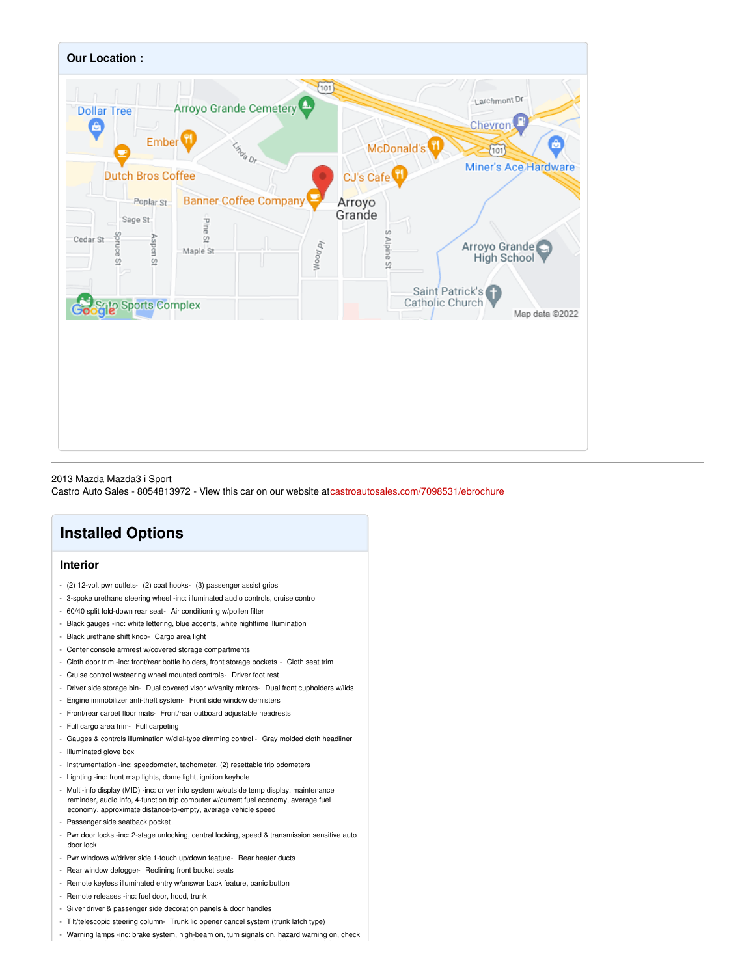

#### 2013 Mazda Mazda3 i Sport

Castro Auto Sales - 8054813972 - View this car on our website at[castroautosales.com/7098531/ebrochure](https://castroautosales.com/vehicle/7098531/2013-mazda-mazda3-i-sport-arroyo-grande-ca-93420/7098531/ebrochure)

## **Installed Options**

## **Interior**

- (2) 12-volt pwr outlets- (2) coat hooks- (3) passenger assist grips
- 3-spoke urethane steering wheel -inc: illuminated audio controls, cruise control
- 60/40 split fold-down rear seat- Air conditioning w/pollen filter
- Black gauges -inc: white lettering, blue accents, white nighttime illumination
- Black urethane shift knob- Cargo area light
- Center console armrest w/covered storage compartments
- Cloth door trim -inc: front/rear bottle holders, front storage pockets Cloth seat trim
- Cruise control w/steering wheel mounted controls- Driver foot rest
- Driver side storage bin- Dual covered visor w/vanity mirrors- Dual front cupholders w/lids
- Engine immobilizer anti-theft system- Front side window demisters
- Front/rear carpet floor mats- Front/rear outboard adjustable headrests
- Full cargo area trim- Full carpeting
- Gauges & controls illumination w/dial-type dimming control Gray molded cloth headliner
- Illuminated glove box
- Instrumentation -inc: speedometer, tachometer, (2) resettable trip odometers
- Lighting -inc: front map lights, dome light, ignition keyhole
- Multi-info display (MID) -inc: driver info system w/outside temp display, maintenance reminder, audio info, 4-function trip computer w/current fuel economy, average fuel economy, approximate distance-to-empty, average vehicle speed
- Passenger side seatback pocket
- Pwr door locks -inc: 2-stage unlocking, central locking, speed & transmission sensitive auto door lock
- Pwr windows w/driver side 1-touch up/down feature- Rear heater ducts
- Rear window defogger- Reclining front bucket seats
- Remote keyless illuminated entry w/answer back feature, panic button
- Remote releases -inc: fuel door, hood, trunk
- Silver driver & passenger side decoration panels & door handles
- Tilt/telescopic steering column- Trunk lid opener cancel system (trunk latch type)
- Warning lamps -inc: brake system, high-beam on, turn signals on, hazard warning on, check